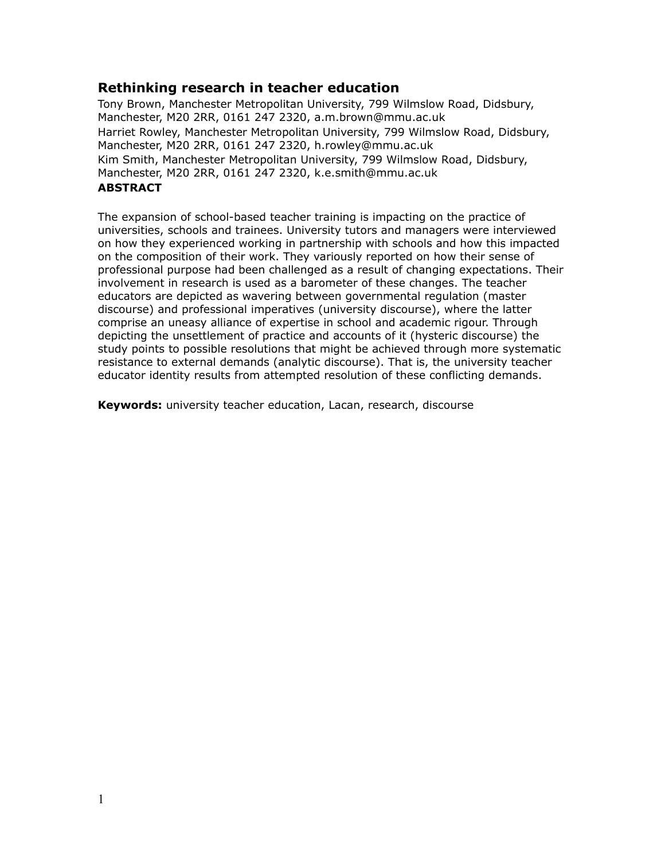# **Rethinking research in teacher education**

Tony Brown, Manchester Metropolitan University, 799 Wilmslow Road, Didsbury, Manchester, M20 2RR, 0161 247 2320, a.m.brown@mmu.ac.uk Harriet Rowley, Manchester Metropolitan University, 799 Wilmslow Road, Didsbury, Manchester, M20 2RR, 0161 247 2320, h.rowley@mmu.ac.uk Kim Smith, Manchester Metropolitan University, 799 Wilmslow Road, Didsbury, Manchester, M20 2RR, 0161 247 2320, k.e.smith@mmu.ac.uk

# **ABSTRACT**

The expansion of school-based teacher training is impacting on the practice of universities, schools and trainees. University tutors and managers were interviewed on how they experienced working in partnership with schools and how this impacted on the composition of their work. They variously reported on how their sense of professional purpose had been challenged as a result of changing expectations. Their involvement in research is used as a barometer of these changes. The teacher educators are depicted as wavering between governmental regulation (master discourse) and professional imperatives (university discourse), where the latter comprise an uneasy alliance of expertise in school and academic rigour. Through depicting the unsettlement of practice and accounts of it (hysteric discourse) the study points to possible resolutions that might be achieved through more systematic resistance to external demands (analytic discourse). That is, the university teacher educator identity results from attempted resolution of these conflicting demands.

**Keywords:** university teacher education, Lacan, research, discourse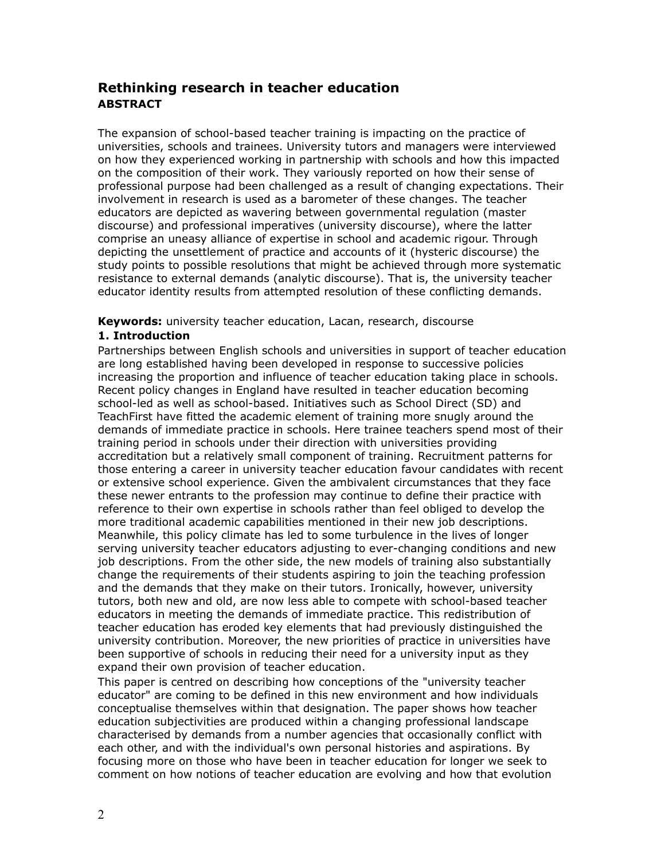# **Rethinking research in teacher education ABSTRACT**

The expansion of school-based teacher training is impacting on the practice of universities, schools and trainees. University tutors and managers were interviewed on how they experienced working in partnership with schools and how this impacted on the composition of their work. They variously reported on how their sense of professional purpose had been challenged as a result of changing expectations. Their involvement in research is used as a barometer of these changes. The teacher educators are depicted as wavering between governmental regulation (master discourse) and professional imperatives (university discourse), where the latter comprise an uneasy alliance of expertise in school and academic rigour. Through depicting the unsettlement of practice and accounts of it (hysteric discourse) the study points to possible resolutions that might be achieved through more systematic resistance to external demands (analytic discourse). That is, the university teacher educator identity results from attempted resolution of these conflicting demands.

**Keywords:** university teacher education, Lacan, research, discourse

# **1. Introduction**

Partnerships between English schools and universities in support of teacher education are long established having been developed in response to successive policies increasing the proportion and influence of teacher education taking place in schools. Recent policy changes in England have resulted in teacher education becoming school-led as well as school-based. Initiatives such as School Direct (SD) and TeachFirst have fitted the academic element of training more snugly around the demands of immediate practice in schools. Here trainee teachers spend most of their training period in schools under their direction with universities providing accreditation but a relatively small component of training. Recruitment patterns for those entering a career in university teacher education favour candidates with recent or extensive school experience. Given the ambivalent circumstances that they face these newer entrants to the profession may continue to define their practice with reference to their own expertise in schools rather than feel obliged to develop the more traditional academic capabilities mentioned in their new job descriptions. Meanwhile, this policy climate has led to some turbulence in the lives of longer serving university teacher educators adjusting to ever-changing conditions and new job descriptions. From the other side, the new models of training also substantially change the requirements of their students aspiring to join the teaching profession and the demands that they make on their tutors. Ironically, however, university tutors, both new and old, are now less able to compete with school-based teacher educators in meeting the demands of immediate practice. This redistribution of teacher education has eroded key elements that had previously distinguished the university contribution. Moreover, the new priorities of practice in universities have been supportive of schools in reducing their need for a university input as they expand their own provision of teacher education.

This paper is centred on describing how conceptions of the "university teacher educator" are coming to be defined in this new environment and how individuals conceptualise themselves within that designation. The paper shows how teacher education subjectivities are produced within a changing professional landscape characterised by demands from a number agencies that occasionally conflict with each other, and with the individual's own personal histories and aspirations. By focusing more on those who have been in teacher education for longer we seek to comment on how notions of teacher education are evolving and how that evolution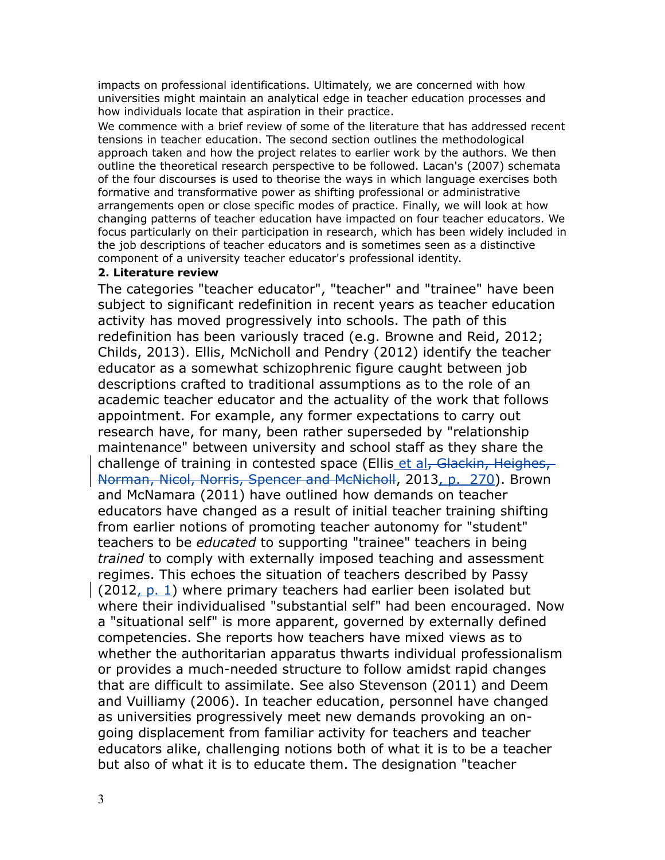impacts on professional identifications. Ultimately, we are concerned with how universities might maintain an analytical edge in teacher education processes and how individuals locate that aspiration in their practice.

We commence with a brief review of some of the literature that has addressed recent tensions in teacher education. The second section outlines the methodological approach taken and how the project relates to earlier work by the authors. We then outline the theoretical research perspective to be followed. Lacan's (2007) schemata of the four discourses is used to theorise the ways in which language exercises both formative and transformative power as shifting professional or administrative arrangements open or close specific modes of practice. Finally, we will look at how changing patterns of teacher education have impacted on four teacher educators. We focus particularly on their participation in research, which has been widely included in the job descriptions of teacher educators and is sometimes seen as a distinctive component of a university teacher educator's professional identity.

## **2. Literature review**

The categories "teacher educator", "teacher" and "trainee" have been subject to significant redefinition in recent years as teacher education activity has moved progressively into schools. The path of this redefinition has been variously traced (e.g. Browne and Reid, 2012; Childs, 2013). Ellis, McNicholl and Pendry (2012) identify the teacher educator as a somewhat schizophrenic figure caught between job descriptions crafted to traditional assumptions as to the role of an academic teacher educator and the actuality of the work that follows appointment. For example, any former expectations to carry out research have, for many, been rather superseded by "relationship maintenance" between university and school staff as they share the challenge of training in contested space (Ellis et al, Glackin, Heighes, Norman, Nicol, Norris, Spencer and McNicholl, 2013, p. 270). Brown and McNamara (2011) have outlined how demands on teacher educators have changed as a result of initial teacher training shifting from earlier notions of promoting teacher autonomy for "student" teachers to be *educated* to supporting "trainee" teachers in being *trained* to comply with externally imposed teaching and assessment regimes. This echoes the situation of teachers described by Passy  $(2012, p. 1)$  where primary teachers had earlier been isolated but where their individualised "substantial self" had been encouraged. Now a "situational self" is more apparent, governed by externally defined competencies. She reports how teachers have mixed views as to whether the authoritarian apparatus thwarts individual professionalism or provides a much-needed structure to follow amidst rapid changes that are difficult to assimilate. See also Stevenson (2011) and Deem and Vuilliamy (2006). In teacher education, personnel have changed as universities progressively meet new demands provoking an ongoing displacement from familiar activity for teachers and teacher educators alike, challenging notions both of what it is to be a teacher but also of what it is to educate them. The designation "teacher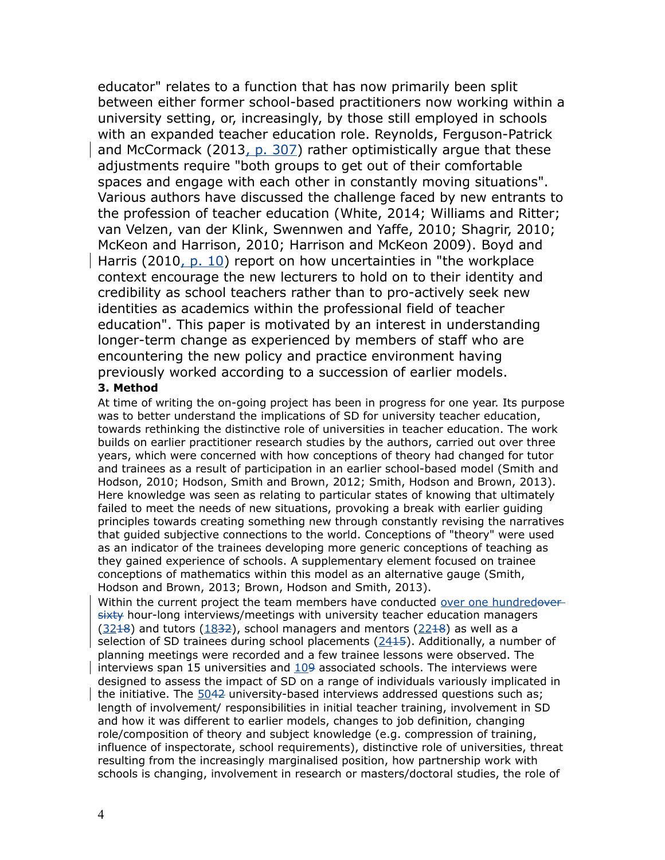educator" relates to a function that has now primarily been split between either former school-based practitioners now working within a university setting, or, increasingly, by those still employed in schools with an expanded teacher education role. Reynolds, Ferguson-Patrick and McCormack (2013, p. 307) rather optimistically argue that these adjustments require "both groups to get out of their comfortable spaces and engage with each other in constantly moving situations". Various authors have discussed the challenge faced by new entrants to the profession of teacher education (White, 2014; Williams and Ritter; van Velzen, van der Klink, Swennwen and Yaffe, 2010; Shagrir, 2010; McKeon and Harrison, 2010; Harrison and McKeon 2009). Boyd and Harris (2010, p. 10) report on how uncertainties in "the workplace context encourage the new lecturers to hold on to their identity and credibility as school teachers rather than to pro-actively seek new identities as academics within the professional field of teacher education". This paper is motivated by an interest in understanding longer-term change as experienced by members of staff who are encountering the new policy and practice environment having previously worked according to a succession of earlier models.

### **3. Method**

At time of writing the on-going project has been in progress for one year. Its purpose was to better understand the implications of SD for university teacher education, towards rethinking the distinctive role of universities in teacher education. The work builds on earlier practitioner research studies by the authors, carried out over three years, which were concerned with how conceptions of theory had changed for tutor and trainees as a result of participation in an earlier school-based model (Smith and Hodson, 2010; Hodson, Smith and Brown, 2012; Smith, Hodson and Brown, 2013). Here knowledge was seen as relating to particular states of knowing that ultimately failed to meet the needs of new situations, provoking a break with earlier guiding principles towards creating something new through constantly revising the narratives that guided subjective connections to the world. Conceptions of "theory" were used as an indicator of the trainees developing more generic conceptions of teaching as they gained experience of schools. A supplementary element focused on trainee conceptions of mathematics within this model as an alternative gauge (Smith, Hodson and Brown, 2013; Brown, Hodson and Smith, 2013).

Within the current project the team members have conducted over one hundredoversixty hour-long interviews/meetings with university teacher education managers  $(32+8)$  and tutors  $(1832)$ , school managers and mentors  $(22+8)$  as well as a selection of SD trainees during school placements (2415). Additionally, a number of planning meetings were recorded and a few trainee lessons were observed. The interviews span 15 universities and  $109$  associated schools. The interviews were designed to assess the impact of SD on a range of individuals variously implicated in the initiative. The 5042 university-based interviews addressed questions such as; length of involvement/ responsibilities in initial teacher training, involvement in SD and how it was different to earlier models, changes to job definition, changing role/composition of theory and subject knowledge (e.g. compression of training, influence of inspectorate, school requirements), distinctive role of universities, threat resulting from the increasingly marginalised position, how partnership work with schools is changing, involvement in research or masters/doctoral studies, the role of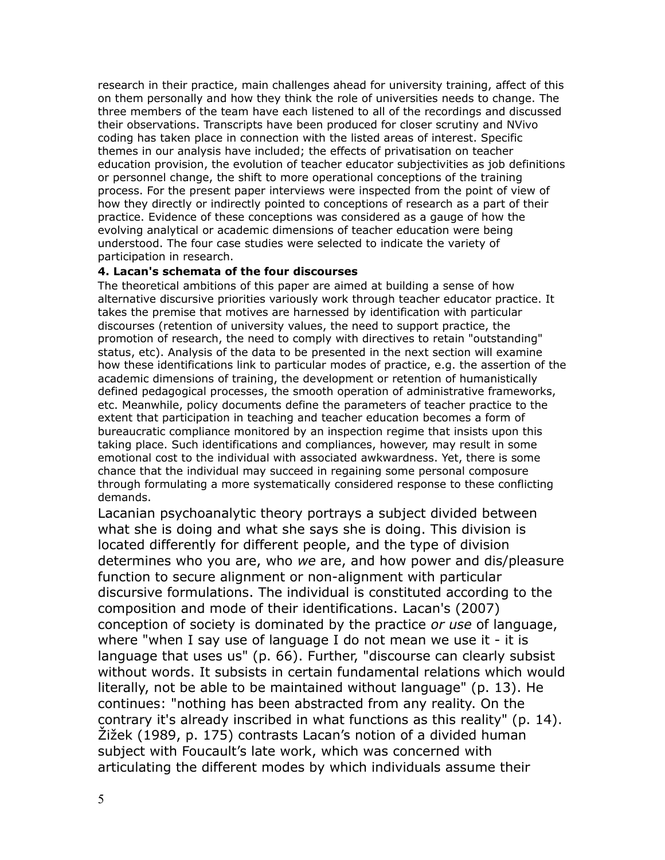research in their practice, main challenges ahead for university training, affect of this on them personally and how they think the role of universities needs to change. The three members of the team have each listened to all of the recordings and discussed their observations. Transcripts have been produced for closer scrutiny and NVivo coding has taken place in connection with the listed areas of interest. Specific themes in our analysis have included; the effects of privatisation on teacher education provision, the evolution of teacher educator subjectivities as job definitions or personnel change, the shift to more operational conceptions of the training process. For the present paper interviews were inspected from the point of view of how they directly or indirectly pointed to conceptions of research as a part of their practice. Evidence of these conceptions was considered as a gauge of how the evolving analytical or academic dimensions of teacher education were being understood. The four case studies were selected to indicate the variety of participation in research.

## **4. Lacan's schemata of the four discourses**

The theoretical ambitions of this paper are aimed at building a sense of how alternative discursive priorities variously work through teacher educator practice. It takes the premise that motives are harnessed by identification with particular discourses (retention of university values, the need to support practice, the promotion of research, the need to comply with directives to retain "outstanding" status, etc). Analysis of the data to be presented in the next section will examine how these identifications link to particular modes of practice, e.g. the assertion of the academic dimensions of training, the development or retention of humanistically defined pedagogical processes, the smooth operation of administrative frameworks, etc. Meanwhile, policy documents define the parameters of teacher practice to the extent that participation in teaching and teacher education becomes a form of bureaucratic compliance monitored by an inspection regime that insists upon this taking place. Such identifications and compliances, however, may result in some emotional cost to the individual with associated awkwardness. Yet, there is some chance that the individual may succeed in regaining some personal composure through formulating a more systematically considered response to these conflicting demands.

Lacanian psychoanalytic theory portrays a subject divided between what she is doing and what she says she is doing. This division is located differently for different people, and the type of division determines who you are, who *we* are, and how power and dis/pleasure function to secure alignment or non-alignment with particular discursive formulations. The individual is constituted according to the composition and mode of their identifications. Lacan's (2007) conception of society is dominated by the practice *or use* of language, where "when I say use of language I do not mean we use it - it is language that uses us" (p. 66). Further, "discourse can clearly subsist without words. It subsists in certain fundamental relations which would literally, not be able to be maintained without language" (p. 13). He continues: "nothing has been abstracted from any reality. On the contrary it's already inscribed in what functions as this reality" (p. 14). Žižek (1989, p. 175) contrasts Lacan's notion of a divided human subject with Foucault's late work, which was concerned with articulating the different modes by which individuals assume their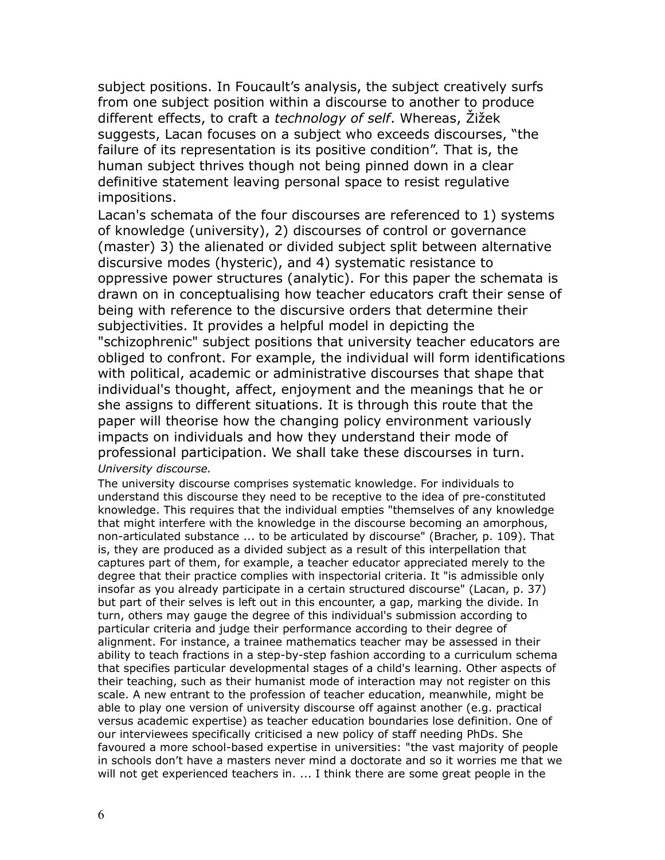subject positions. In Foucault's analysis, the subject creatively surfs from one subject position within a discourse to another to produce different effects, to craft a *technology of self*. Whereas, Žižek suggests, Lacan focuses on a subject who exceeds discourses, "the failure of its representation is its positive condition". That is, the human subject thrives though not being pinned down in a clear definitive statement leaving personal space to resist regulative impositions.

Lacan's schemata of the four discourses are referenced to 1) systems of knowledge (university), 2) discourses of control or governance (master) 3) the alienated or divided subject split between alternative discursive modes (hysteric), and 4) systematic resistance to oppressive power structures (analytic). For this paper the schemata is drawn on in conceptualising how teacher educators craft their sense of being with reference to the discursive orders that determine their subjectivities. It provides a helpful model in depicting the "schizophrenic" subject positions that university teacher educators are obliged to confront. For example, the individual will form identifications with political, academic or administrative discourses that shape that individual's thought, affect, enjoyment and the meanings that he or she assigns to different situations. It is through this route that the paper will theorise how the changing policy environment variously impacts on individuals and how they understand their mode of professional participation. We shall take these discourses in turn. *University discourse.* 

The university discourse comprises systematic knowledge. For individuals to understand this discourse they need to be receptive to the idea of pre-constituted knowledge. This requires that the individual empties "themselves of any knowledge that might interfere with the knowledge in the discourse becoming an amorphous, non-articulated substance ... to be articulated by discourse" (Bracher, p. 109). That is, they are produced as a divided subject as a result of this interpellation that captures part of them, for example, a teacher educator appreciated merely to the degree that their practice complies with inspectorial criteria. It "is admissible only insofar as you already participate in a certain structured discourse" (Lacan, p. 37) but part of their selves is left out in this encounter, a gap, marking the divide. In turn, others may gauge the degree of this individual's submission according to particular criteria and judge their performance according to their degree of alignment. For instance, a trainee mathematics teacher may be assessed in their ability to teach fractions in a step-by-step fashion according to a curriculum schema that specifies particular developmental stages of a child's learning. Other aspects of their teaching, such as their humanist mode of interaction may not register on this scale. A new entrant to the profession of teacher education, meanwhile, might be able to play one version of university discourse off against another (e.g. practical versus academic expertise) as teacher education boundaries lose definition. One of our interviewees specifically criticised a new policy of staff needing PhDs. She favoured a more school-based expertise in universities: "the vast majority of people in schools don't have a masters never mind a doctorate and so it worries me that we will not get experienced teachers in. ... I think there are some great people in the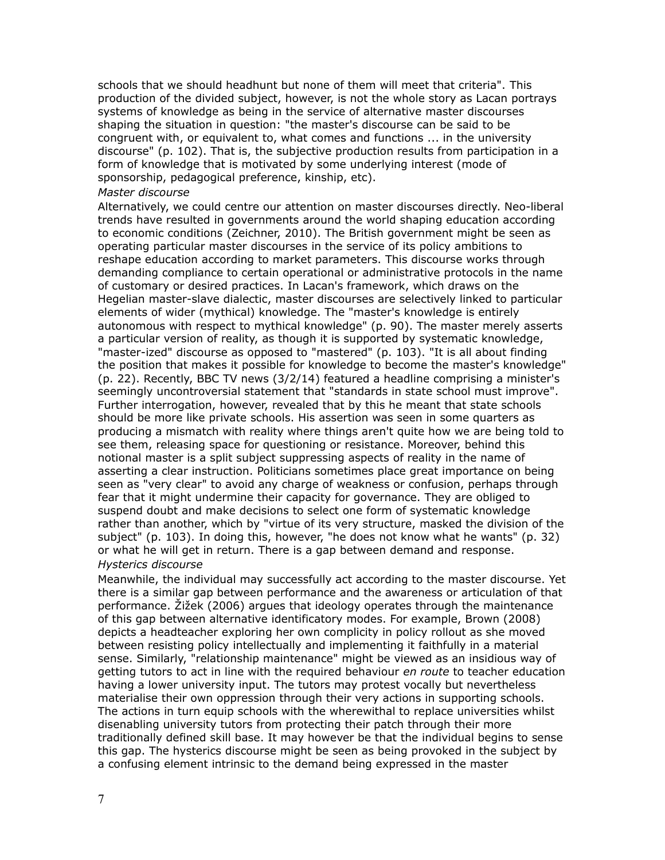schools that we should headhunt but none of them will meet that criteria". This production of the divided subject, however, is not the whole story as Lacan portrays systems of knowledge as being in the service of alternative master discourses shaping the situation in question: "the master's discourse can be said to be congruent with, or equivalent to, what comes and functions ... in the university discourse" (p. 102). That is, the subjective production results from participation in a form of knowledge that is motivated by some underlying interest (mode of sponsorship, pedagogical preference, kinship, etc).

### *Master discourse*

Alternatively, we could centre our attention on master discourses directly. Neo-liberal trends have resulted in governments around the world shaping education according to economic conditions (Zeichner, 2010). The British government might be seen as operating particular master discourses in the service of its policy ambitions to reshape education according to market parameters. This discourse works through demanding compliance to certain operational or administrative protocols in the name of customary or desired practices. In Lacan's framework, which draws on the Hegelian master-slave dialectic, master discourses are selectively linked to particular elements of wider (mythical) knowledge. The "master's knowledge is entirely autonomous with respect to mythical knowledge" (p. 90). The master merely asserts a particular version of reality, as though it is supported by systematic knowledge, "master-ized" discourse as opposed to "mastered" (p. 103). "It is all about finding the position that makes it possible for knowledge to become the master's knowledge" (p. 22). Recently, BBC TV news (3/2/14) featured a headline comprising a minister's seemingly uncontroversial statement that "standards in state school must improve". Further interrogation, however, revealed that by this he meant that state schools should be more like private schools. His assertion was seen in some quarters as producing a mismatch with reality where things aren't quite how we are being told to see them, releasing space for questioning or resistance. Moreover, behind this notional master is a split subject suppressing aspects of reality in the name of asserting a clear instruction. Politicians sometimes place great importance on being seen as "very clear" to avoid any charge of weakness or confusion, perhaps through fear that it might undermine their capacity for governance. They are obliged to suspend doubt and make decisions to select one form of systematic knowledge rather than another, which by "virtue of its very structure, masked the division of the subject" (p. 103). In doing this, however, "he does not know what he wants" (p. 32) or what he will get in return. There is a gap between demand and response. *Hysterics discourse*

Meanwhile, the individual may successfully act according to the master discourse. Yet there is a similar gap between performance and the awareness or articulation of that performance. Žižek (2006) argues that ideology operates through the maintenance of this gap between alternative identificatory modes. For example, Brown (2008) depicts a headteacher exploring her own complicity in policy rollout as she moved between resisting policy intellectually and implementing it faithfully in a material sense. Similarly, "relationship maintenance" might be viewed as an insidious way of getting tutors to act in line with the required behaviour *en route* to teacher education having a lower university input. The tutors may protest vocally but nevertheless materialise their own oppression through their very actions in supporting schools. The actions in turn equip schools with the wherewithal to replace universities whilst disenabling university tutors from protecting their patch through their more traditionally defined skill base. It may however be that the individual begins to sense this gap. The hysterics discourse might be seen as being provoked in the subject by a confusing element intrinsic to the demand being expressed in the master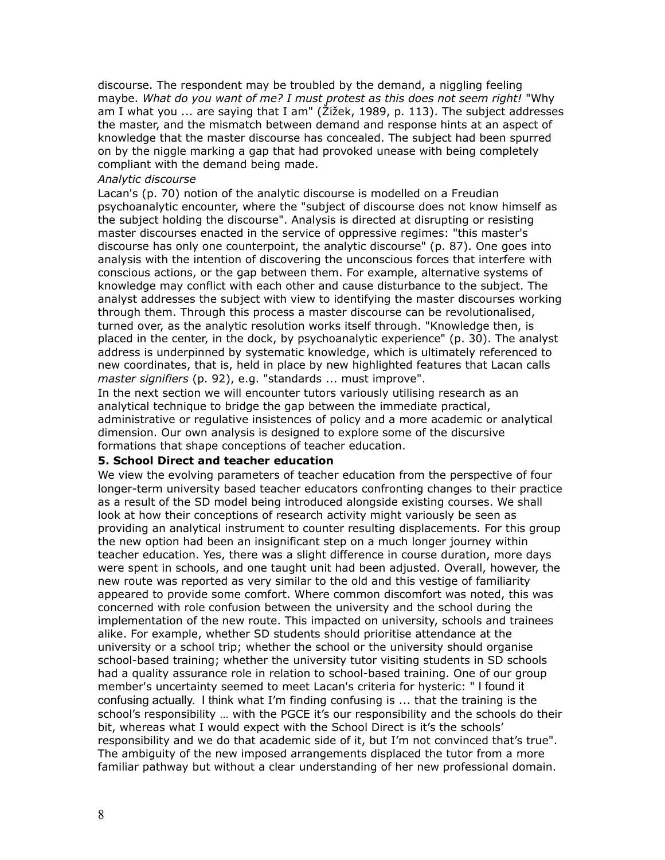discourse. The respondent may be troubled by the demand, a niggling feeling maybe. *What do you want of me? I must protest as this does not seem right!* "Why am I what you ... are saying that I am" (Žižek, 1989, p. 113). The subject addresses the master, and the mismatch between demand and response hints at an aspect of knowledge that the master discourse has concealed. The subject had been spurred on by the niggle marking a gap that had provoked unease with being completely compliant with the demand being made.

#### *Analytic discourse*

Lacan's (p. 70) notion of the analytic discourse is modelled on a Freudian psychoanalytic encounter, where the "subject of discourse does not know himself as the subject holding the discourse". Analysis is directed at disrupting or resisting master discourses enacted in the service of oppressive regimes: "this master's discourse has only one counterpoint, the analytic discourse" (p. 87). One goes into analysis with the intention of discovering the unconscious forces that interfere with conscious actions, or the gap between them. For example, alternative systems of knowledge may conflict with each other and cause disturbance to the subject. The analyst addresses the subject with view to identifying the master discourses working through them. Through this process a master discourse can be revolutionalised, turned over, as the analytic resolution works itself through. "Knowledge then, is placed in the center, in the dock, by psychoanalytic experience" (p. 30). The analyst address is underpinned by systematic knowledge, which is ultimately referenced to new coordinates, that is, held in place by new highlighted features that Lacan calls *master signifiers* (p. 92), e.g. "standards ... must improve".

In the next section we will encounter tutors variously utilising research as an analytical technique to bridge the gap between the immediate practical, administrative or regulative insistences of policy and a more academic or analytical dimension. Our own analysis is designed to explore some of the discursive formations that shape conceptions of teacher education.

### **5. School Direct and teacher education**

We view the evolving parameters of teacher education from the perspective of four longer-term university based teacher educators confronting changes to their practice as a result of the SD model being introduced alongside existing courses. We shall look at how their conceptions of research activity might variously be seen as providing an analytical instrument to counter resulting displacements. For this group the new option had been an insignificant step on a much longer journey within teacher education. Yes, there was a slight difference in course duration, more days were spent in schools, and one taught unit had been adjusted. Overall, however, the new route was reported as very similar to the old and this vestige of familiarity appeared to provide some comfort. Where common discomfort was noted, this was concerned with role confusion between the university and the school during the implementation of the new route. This impacted on university, schools and trainees alike. For example, whether SD students should prioritise attendance at the university or a school trip; whether the school or the university should organise school-based training; whether the university tutor visiting students in SD schools had a quality assurance role in relation to school-based training. One of our group member's uncertainty seemed to meet Lacan's criteria for hysteric: " I found it confusing actually. I think what I'm finding confusing is ... that the training is the school's responsibility … with the PGCE it's our responsibility and the schools do their bit, whereas what I would expect with the School Direct is it's the schools' responsibility and we do that academic side of it, but I'm not convinced that's true". The ambiguity of the new imposed arrangements displaced the tutor from a more familiar pathway but without a clear understanding of her new professional domain.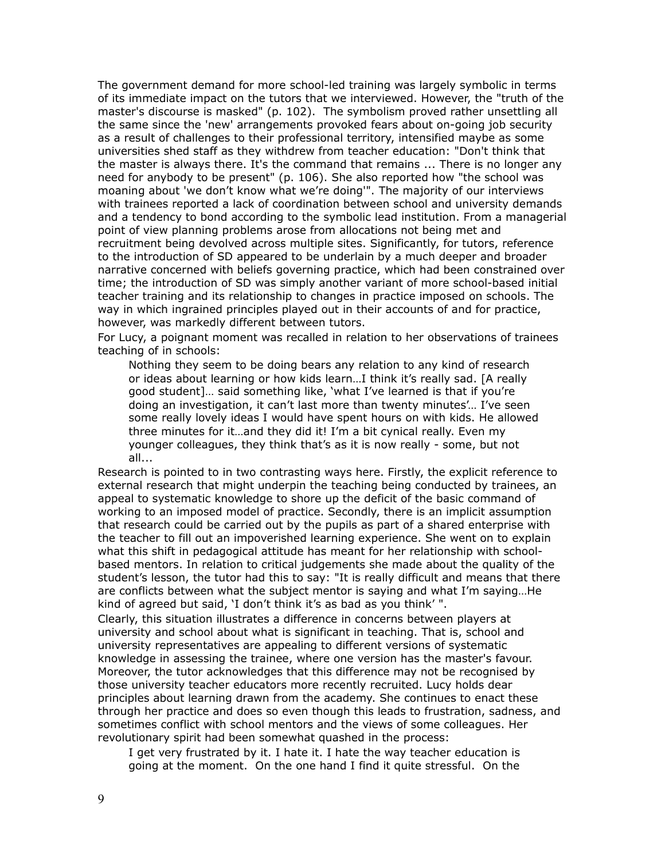The government demand for more school-led training was largely symbolic in terms of its immediate impact on the tutors that we interviewed. However, the "truth of the master's discourse is masked" (p. 102). The symbolism proved rather unsettling all the same since the 'new' arrangements provoked fears about on-going job security as a result of challenges to their professional territory, intensified maybe as some universities shed staff as they withdrew from teacher education: "Don't think that the master is always there. It's the command that remains ... There is no longer any need for anybody to be present" (p. 106). She also reported how "the school was moaning about 'we don't know what we're doing'". The majority of our interviews with trainees reported a lack of coordination between school and university demands and a tendency to bond according to the symbolic lead institution. From a managerial point of view planning problems arose from allocations not being met and recruitment being devolved across multiple sites. Significantly, for tutors, reference to the introduction of SD appeared to be underlain by a much deeper and broader narrative concerned with beliefs governing practice, which had been constrained over time; the introduction of SD was simply another variant of more school-based initial teacher training and its relationship to changes in practice imposed on schools. The way in which ingrained principles played out in their accounts of and for practice, however, was markedly different between tutors.

For Lucy, a poignant moment was recalled in relation to her observations of trainees teaching of in schools:

Nothing they seem to be doing bears any relation to any kind of research or ideas about learning or how kids learn…I think it's really sad. [A really good student]… said something like, 'what I've learned is that if you're doing an investigation, it can't last more than twenty minutes'… I've seen some really lovely ideas I would have spent hours on with kids. He allowed three minutes for it…and they did it! I'm a bit cynical really. Even my younger colleagues, they think that's as it is now really - some, but not all...

Research is pointed to in two contrasting ways here. Firstly, the explicit reference to external research that might underpin the teaching being conducted by trainees, an appeal to systematic knowledge to shore up the deficit of the basic command of working to an imposed model of practice. Secondly, there is an implicit assumption that research could be carried out by the pupils as part of a shared enterprise with the teacher to fill out an impoverished learning experience. She went on to explain what this shift in pedagogical attitude has meant for her relationship with schoolbased mentors. In relation to critical judgements she made about the quality of the student's lesson, the tutor had this to say: "It is really difficult and means that there are conflicts between what the subject mentor is saying and what I'm saying…He kind of agreed but said, 'I don't think it's as bad as you think' ".

Clearly, this situation illustrates a difference in concerns between players at university and school about what is significant in teaching. That is, school and university representatives are appealing to different versions of systematic knowledge in assessing the trainee, where one version has the master's favour. Moreover, the tutor acknowledges that this difference may not be recognised by those university teacher educators more recently recruited. Lucy holds dear principles about learning drawn from the academy. She continues to enact these through her practice and does so even though this leads to frustration, sadness, and sometimes conflict with school mentors and the views of some colleagues. Her revolutionary spirit had been somewhat quashed in the process:

I get very frustrated by it. I hate it. I hate the way teacher education is going at the moment. On the one hand I find it quite stressful. On the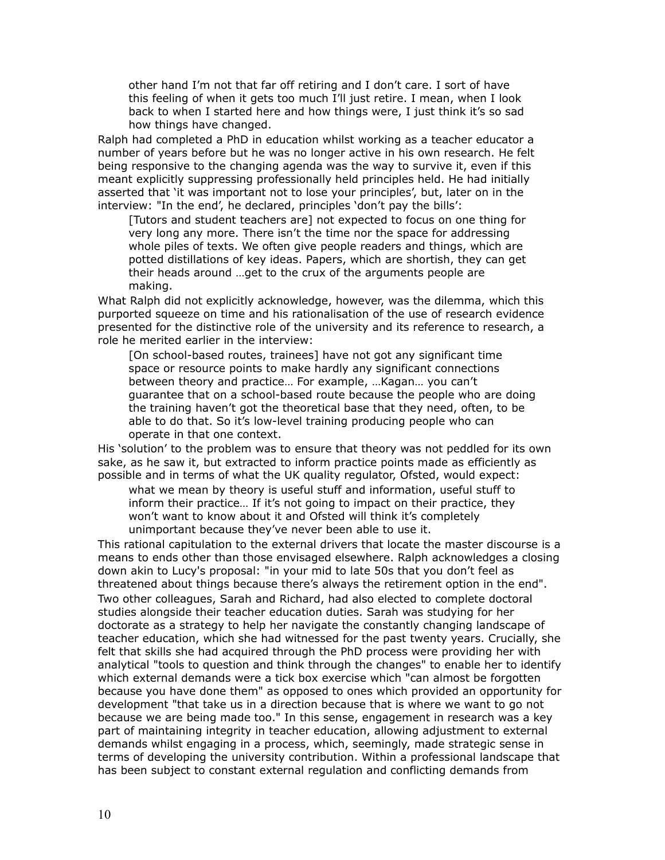other hand I'm not that far off retiring and I don't care. I sort of have this feeling of when it gets too much I'll just retire. I mean, when I look back to when I started here and how things were, I just think it's so sad how things have changed.

Ralph had completed a PhD in education whilst working as a teacher educator a number of years before but he was no longer active in his own research. He felt being responsive to the changing agenda was the way to survive it, even if this meant explicitly suppressing professionally held principles held. He had initially asserted that 'it was important not to lose your principles', but, later on in the interview: "In the end', he declared, principles 'don't pay the bills':

[Tutors and student teachers are] not expected to focus on one thing for very long any more. There isn't the time nor the space for addressing whole piles of texts. We often give people readers and things, which are potted distillations of key ideas. Papers, which are shortish, they can get their heads around …get to the crux of the arguments people are making.

What Ralph did not explicitly acknowledge, however, was the dilemma, which this purported squeeze on time and his rationalisation of the use of research evidence presented for the distinctive role of the university and its reference to research, a role he merited earlier in the interview:

[On school-based routes, trainees] have not got any significant time space or resource points to make hardly any significant connections between theory and practice… For example, …Kagan… you can't guarantee that on a school-based route because the people who are doing the training haven't got the theoretical base that they need, often, to be able to do that. So it's low-level training producing people who can operate in that one context.

His 'solution' to the problem was to ensure that theory was not peddled for its own sake, as he saw it, but extracted to inform practice points made as efficiently as possible and in terms of what the UK quality regulator, Ofsted, would expect:

what we mean by theory is useful stuff and information, useful stuff to inform their practice… If it's not going to impact on their practice, they won't want to know about it and Ofsted will think it's completely unimportant because they've never been able to use it.

This rational capitulation to the external drivers that locate the master discourse is a means to ends other than those envisaged elsewhere. Ralph acknowledges a closing down akin to Lucy's proposal: "in your mid to late 50s that you don't feel as threatened about things because there's always the retirement option in the end". Two other colleagues, Sarah and Richard, had also elected to complete doctoral studies alongside their teacher education duties. Sarah was studying for her doctorate as a strategy to help her navigate the constantly changing landscape of teacher education, which she had witnessed for the past twenty years. Crucially, she felt that skills she had acquired through the PhD process were providing her with analytical "tools to question and think through the changes" to enable her to identify which external demands were a tick box exercise which "can almost be forgotten because you have done them" as opposed to ones which provided an opportunity for development "that take us in a direction because that is where we want to go not because we are being made too." In this sense, engagement in research was a key part of maintaining integrity in teacher education, allowing adjustment to external demands whilst engaging in a process, which, seemingly, made strategic sense in terms of developing the university contribution. Within a professional landscape that has been subject to constant external regulation and conflicting demands from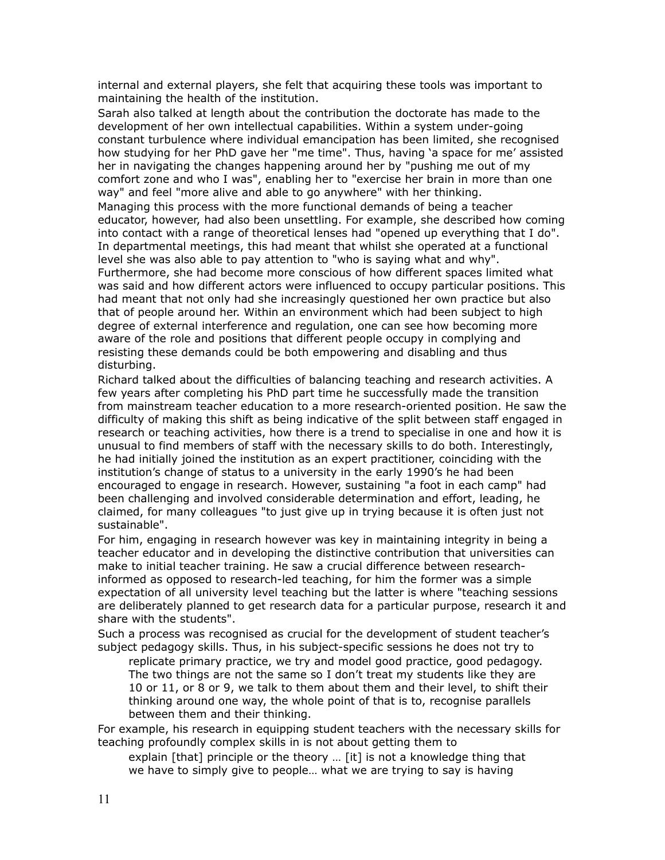internal and external players, she felt that acquiring these tools was important to maintaining the health of the institution.

Sarah also talked at length about the contribution the doctorate has made to the development of her own intellectual capabilities. Within a system under-going constant turbulence where individual emancipation has been limited, she recognised how studying for her PhD gave her "me time". Thus, having 'a space for me' assisted her in navigating the changes happening around her by "pushing me out of my comfort zone and who I was", enabling her to "exercise her brain in more than one way" and feel "more alive and able to go anywhere" with her thinking. Managing this process with the more functional demands of being a teacher educator, however, had also been unsettling. For example, she described how coming into contact with a range of theoretical lenses had "opened up everything that I do". In departmental meetings, this had meant that whilst she operated at a functional level she was also able to pay attention to "who is saying what and why". Furthermore, she had become more conscious of how different spaces limited what was said and how different actors were influenced to occupy particular positions. This had meant that not only had she increasingly questioned her own practice but also that of people around her. Within an environment which had been subject to high degree of external interference and regulation, one can see how becoming more aware of the role and positions that different people occupy in complying and resisting these demands could be both empowering and disabling and thus disturbing.

Richard talked about the difficulties of balancing teaching and research activities. A few years after completing his PhD part time he successfully made the transition from mainstream teacher education to a more research-oriented position. He saw the difficulty of making this shift as being indicative of the split between staff engaged in research or teaching activities, how there is a trend to specialise in one and how it is unusual to find members of staff with the necessary skills to do both. Interestingly, he had initially joined the institution as an expert practitioner, coinciding with the institution's change of status to a university in the early 1990's he had been encouraged to engage in research. However, sustaining "a foot in each camp" had been challenging and involved considerable determination and effort, leading, he claimed, for many colleagues "to just give up in trying because it is often just not sustainable".

For him, engaging in research however was key in maintaining integrity in being a teacher educator and in developing the distinctive contribution that universities can make to initial teacher training. He saw a crucial difference between researchinformed as opposed to research-led teaching, for him the former was a simple expectation of all university level teaching but the latter is where "teaching sessions are deliberately planned to get research data for a particular purpose, research it and share with the students".

Such a process was recognised as crucial for the development of student teacher's subject pedagogy skills. Thus, in his subject-specific sessions he does not try to

replicate primary practice, we try and model good practice, good pedagogy. The two things are not the same so I don't treat my students like they are 10 or 11, or 8 or 9, we talk to them about them and their level, to shift their thinking around one way, the whole point of that is to, recognise parallels between them and their thinking.

For example, his research in equipping student teachers with the necessary skills for teaching profoundly complex skills in is not about getting them to

explain [that] principle or the theory … [it] is not a knowledge thing that we have to simply give to people… what we are trying to say is having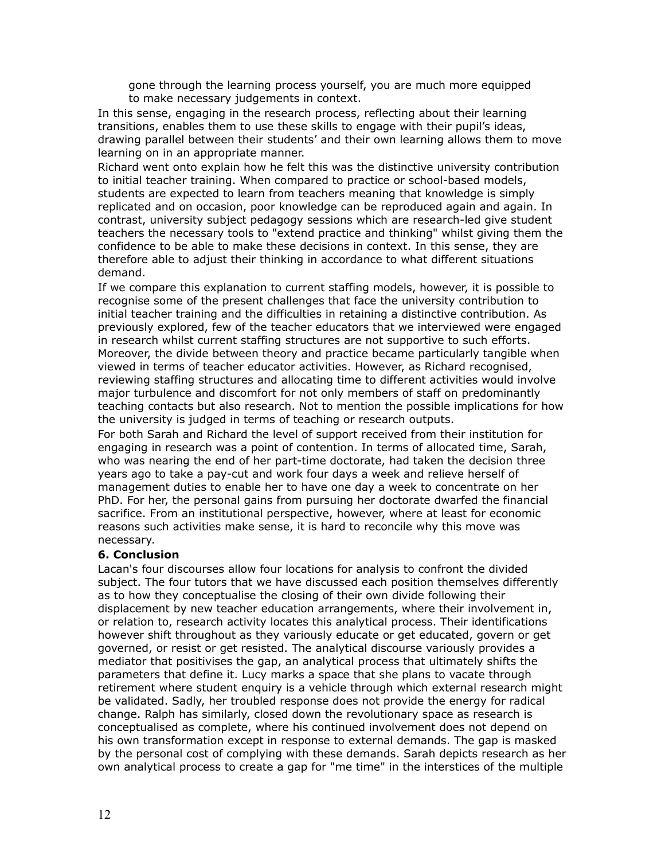gone through the learning process yourself, you are much more equipped to make necessary judgements in context.

In this sense, engaging in the research process, reflecting about their learning transitions, enables them to use these skills to engage with their pupil's ideas, drawing parallel between their students' and their own learning allows them to move learning on in an appropriate manner.

Richard went onto explain how he felt this was the distinctive university contribution to initial teacher training. When compared to practice or school-based models, students are expected to learn from teachers meaning that knowledge is simply replicated and on occasion, poor knowledge can be reproduced again and again. In contrast, university subject pedagogy sessions which are research-led give student teachers the necessary tools to "extend practice and thinking" whilst giving them the confidence to be able to make these decisions in context. In this sense, they are therefore able to adjust their thinking in accordance to what different situations demand.

If we compare this explanation to current staffing models, however, it is possible to recognise some of the present challenges that face the university contribution to initial teacher training and the difficulties in retaining a distinctive contribution. As previously explored, few of the teacher educators that we interviewed were engaged in research whilst current staffing structures are not supportive to such efforts. Moreover, the divide between theory and practice became particularly tangible when viewed in terms of teacher educator activities. However, as Richard recognised, reviewing staffing structures and allocating time to different activities would involve major turbulence and discomfort for not only members of staff on predominantly teaching contacts but also research. Not to mention the possible implications for how the university is judged in terms of teaching or research outputs.

For both Sarah and Richard the level of support received from their institution for engaging in research was a point of contention. In terms of allocated time, Sarah, who was nearing the end of her part-time doctorate, had taken the decision three years ago to take a pay-cut and work four days a week and relieve herself of management duties to enable her to have one day a week to concentrate on her PhD. For her, the personal gains from pursuing her doctorate dwarfed the financial sacrifice. From an institutional perspective, however, where at least for economic reasons such activities make sense, it is hard to reconcile why this move was necessary.

## **6. Conclusion**

Lacan's four discourses allow four locations for analysis to confront the divided subject. The four tutors that we have discussed each position themselves differently as to how they conceptualise the closing of their own divide following their displacement by new teacher education arrangements, where their involvement in, or relation to, research activity locates this analytical process. Their identifications however shift throughout as they variously educate or get educated, govern or get governed, or resist or get resisted. The analytical discourse variously provides a mediator that positivises the gap, an analytical process that ultimately shifts the parameters that define it. Lucy marks a space that she plans to vacate through retirement where student enquiry is a vehicle through which external research might be validated. Sadly, her troubled response does not provide the energy for radical change. Ralph has similarly, closed down the revolutionary space as research is conceptualised as complete, where his continued involvement does not depend on his own transformation except in response to external demands. The gap is masked by the personal cost of complying with these demands. Sarah depicts research as her own analytical process to create a gap for "me time" in the interstices of the multiple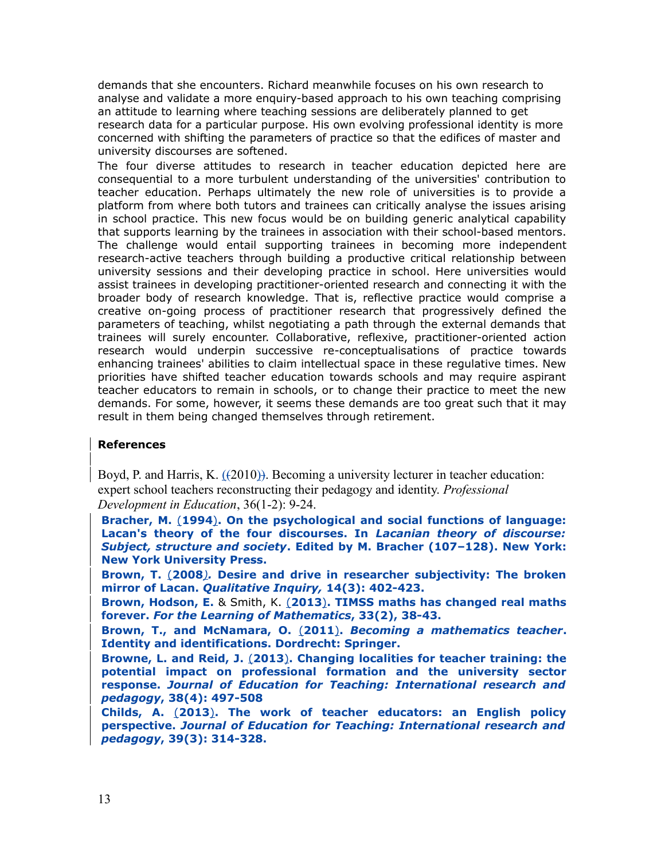demands that she encounters. Richard meanwhile focuses on his own research to analyse and validate a more enquiry-based approach to his own teaching comprising an attitude to learning where teaching sessions are deliberately planned to get research data for a particular purpose. His own evolving professional identity is more concerned with shifting the parameters of practice so that the edifices of master and university discourses are softened.

The four diverse attitudes to research in teacher education depicted here are consequential to a more turbulent understanding of the universities' contribution to teacher education. Perhaps ultimately the new role of universities is to provide a platform from where both tutors and trainees can critically analyse the issues arising in school practice. This new focus would be on building generic analytical capability that supports learning by the trainees in association with their school-based mentors. The challenge would entail supporting trainees in becoming more independent research-active teachers through building a productive critical relationship between university sessions and their developing practice in school. Here universities would assist trainees in developing practitioner-oriented research and connecting it with the broader body of research knowledge. That is, reflective practice would comprise a creative on-going process of practitioner research that progressively defined the parameters of teaching, whilst negotiating a path through the external demands that trainees will surely encounter. Collaborative, reflexive, practitioner-oriented action research would underpin successive re-conceptualisations of practice towards enhancing trainees' abilities to claim intellectual space in these regulative times. New priorities have shifted teacher education towards schools and may require aspirant teacher educators to remain in schools, or to change their practice to meet the new demands. For some, however, it seems these demands are too great such that it may result in them being changed themselves through retirement.

## **References**

Boyd, P. and Harris, K. ( $(2010)$ ). Becoming a university lecturer in teacher education: expert school teachers reconstructing their pedagogy and identity. *Professional Development in Education*, 36(1-2): 9-24.

**Bracher, M.** (**1994**)**. On the psychological and social functions of language: Lacan's theory of the four discourses. In** *Lacanian theory of discourse: Subject, structure and society***. Edited by M. Bracher (107–128). New York: New York University Press.**

**Brown, T.** (**2008***).* **Desire and drive in researcher subjectivity: The broken mirror of Lacan.** *Qualitative Inquiry,* **14(3): 402-423.**

**Brown, Hodson, E.** & Smith, K. (**2013**)**. TIMSS maths has changed real maths forever.** *For the Learning of Mathematics***, 33(2), 38-43.**

**Brown, T., and McNamara, O.** (**2011**)**.** *Becoming a mathematics teacher***. Identity and identifications. Dordrecht: Springer.** 

**Browne, L. and Reid, J.** (**2013**)**. Changing localities for teacher training: the potential impact on professional formation and the university sector response.** *Journal of Education for Teaching: International research and pedagogy***, 38(4): 497-508**

**Childs, A.** (**2013**)**. The work of teacher educators: an English policy perspective.** *Journal of Education for Teaching: International research and pedagogy***, 39(3): 314-328.**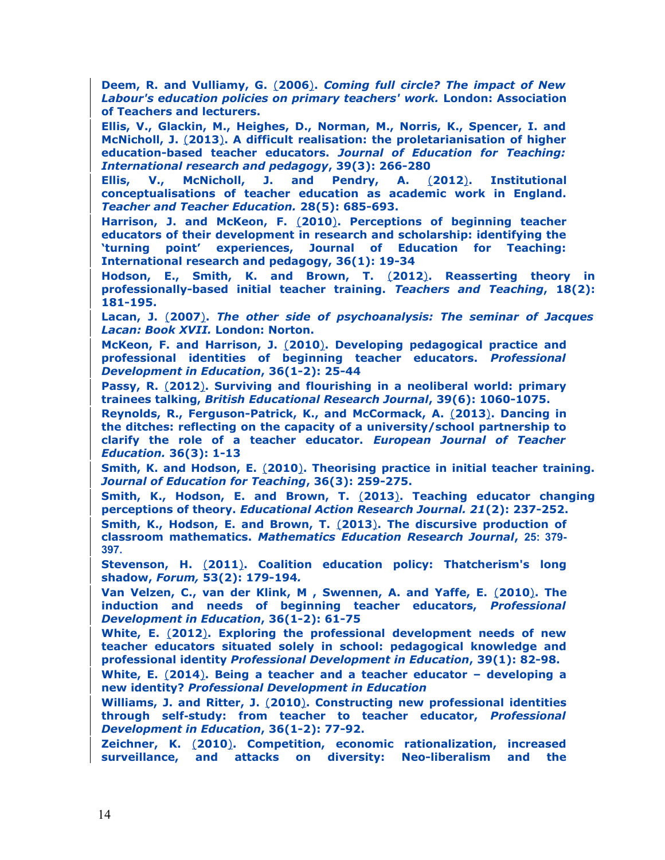**Deem, R. and Vulliamy, G.** (**2006**)**.** *Coming full circle? The impact of New Labour's education policies on primary teachers' work.* **London: Association of Teachers and lecturers.**

**Ellis, V., Glackin, M., Heighes, D., Norman, M., Norris, K., Spencer, I. and McNicholl, J.** (**2013**)**. A difficult realisation: the proletarianisation of higher education-based teacher educators.** *Journal of Education for Teaching: International research and pedagogy***, 39(3): 266-280**

**Ellis, V., McNicholl, J. and Pendry, A.** (**2012**)**. Institutional conceptualisations of teacher education as academic work in England.** *Teacher and Teacher Education.* **28(5): 685-693.**

**Harrison, J. and McKeon, F.** (**2010**)**. Perceptions of beginning teacher educators of their development in research and scholarship: identifying the 'turning point' experiences, Journal of Education for Teaching: International research and pedagogy, 36(1): 19-34** 

**Hodson, E., Smith, K. and Brown, T.** (**2012**)**. Reasserting theory in professionally-based initial teacher training.** *Teachers and Teaching***, 18(2): 181-195.**

**Lacan, J.** (**2007**)**.** *The other side of psychoanalysis: The seminar of Jacques Lacan: Book XVII.* **London: Norton.**

**McKeon, F. and Harrison, J.** (**2010**)**. Developing pedagogical practice and professional identities of beginning teacher educators.** *Professional Development in Education***, 36(1-2): 25-44** 

**Passy, R.** (**2012**)**. Surviving and flourishing in a neoliberal world: primary trainees talking,** *British Educational Research Journal***, 39(6): 1060-1075.**

**Reynolds, R., Ferguson-Patrick, K., and McCormack, A.** (**2013**)**. Dancing in the ditches: reflecting on the capacity of a university/school partnership to clarify the role of a teacher educator.** *European Journal of Teacher Education.* **36(3): 1-13**

**Smith, K. and Hodson, E.** (**2010**)**. Theorising practice in initial teacher training.** *Journal of Education for Teaching***, 36(3): 259-275.** 

**Smith, K., Hodson, E. and Brown, T.** (**2013**)**. Teaching educator changing perceptions of theory.** *Educational Action Research Journal. 21***(2): 237-252.**

**Smith, K., Hodson, E. and Brown, T.** (**2013**)**. The discursive production of classroom mathematics.** *Mathematics Education Research Journal***, 25: 379- 397.**

**Stevenson, H.** (**2011**)**. Coalition education policy: Thatcherism's long shadow,** *Forum,* **53(2): 179-194***.*

**Van Velzen, C., van der Klink, M , Swennen, A. and Yaffe, E.** (**2010**)**. The induction and needs of beginning teacher educators,** *Professional Development in Education***, 36(1-2): 61-75** 

**White, E.** (**2012**)**. Exploring the professional development needs of new teacher educators situated solely in school: pedagogical knowledge and professional identity** *Professional Development in Education***, 39(1): 82-98.** 

**White, E.** (**2014**)**. Being a teacher and a teacher educator – developing a new identity?** *Professional Development in Education*

**Williams, J. and Ritter, J.** (**2010**)**. Constructing new professional identities through self‐study: from teacher to teacher educator,** *Professional Development in Education***, 36(1-2): 77-92.** 

**Zeichner, K.** (**2010**)**. Competition, economic rationalization, increased surveillance, and attacks on diversity: Neo-liberalism and the**